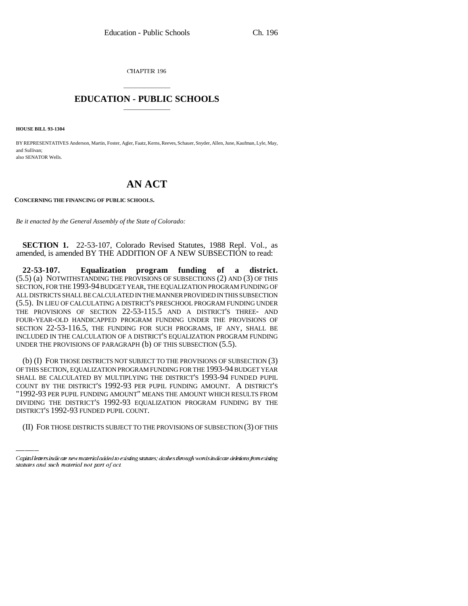CHAPTER 196

## \_\_\_\_\_\_\_\_\_\_\_\_\_\_\_ **EDUCATION - PUBLIC SCHOOLS** \_\_\_\_\_\_\_\_\_\_\_\_\_\_\_

**HOUSE BILL 93-1304**

BY REPRESENTATIVES Anderson, Martin, Foster, Agler, Faatz, Kerns, Reeves, Schauer, Snyder, Allen, June, Kaufman, Lyle, May, and Sullivan; also SENATOR Wells.

# **AN ACT**

**CONCERNING THE FINANCING OF PUBLIC SCHOOLS.**

*Be it enacted by the General Assembly of the State of Colorado:*

**SECTION 1.** 22-53-107, Colorado Revised Statutes, 1988 Repl. Vol., as amended, is amended BY THE ADDITION OF A NEW SUBSECTION to read:

**22-53-107. Equalization program funding of a district.** (5.5) (a) NOTWITHSTANDING THE PROVISIONS OF SUBSECTIONS (2) AND (3) OF THIS SECTION, FOR THE 1993-94 BUDGET YEAR, THE EQUALIZATION PROGRAM FUNDING OF ALL DISTRICTS SHALL BE CALCULATED IN THE MANNER PROVIDED IN THIS SUBSECTION (5.5). IN LIEU OF CALCULATING A DISTRICT'S PRESCHOOL PROGRAM FUNDING UNDER THE PROVISIONS OF SECTION 22-53-115.5 AND A DISTRICT'S THREE- AND FOUR-YEAR-OLD HANDICAPPED PROGRAM FUNDING UNDER THE PROVISIONS OF SECTION 22-53-116.5, THE FUNDING FOR SUCH PROGRAMS, IF ANY, SHALL BE INCLUDED IN THE CALCULATION OF A DISTRICT'S EQUALIZATION PROGRAM FUNDING UNDER THE PROVISIONS OF PARAGRAPH (b) OF THIS SUBSECTION (5.5).

"1992-93 PER PUPIL FUNDING AMOUNT" MEANS THE AMOUNT WHICH RESULTS FROM (b) (I) FOR THOSE DISTRICTS NOT SUBJECT TO THE PROVISIONS OF SUBSECTION (3) OF THIS SECTION, EQUALIZATION PROGRAM FUNDING FOR THE 1993-94 BUDGET YEAR SHALL BE CALCULATED BY MULTIPLYING THE DISTRICT'S 1993-94 FUNDED PUPIL COUNT BY THE DISTRICT'S 1992-93 PER PUPIL FUNDING AMOUNT. A DISTRICT'S DIVIDING THE DISTRICT'S 1992-93 EQUALIZATION PROGRAM FUNDING BY THE DISTRICT'S 1992-93 FUNDED PUPIL COUNT.

(II) FOR THOSE DISTRICTS SUBJECT TO THE PROVISIONS OF SUBSECTION (3) OF THIS

Capital letters indicate new material added to existing statutes; dashes through words indicate deletions from existing statutes and such material not part of act.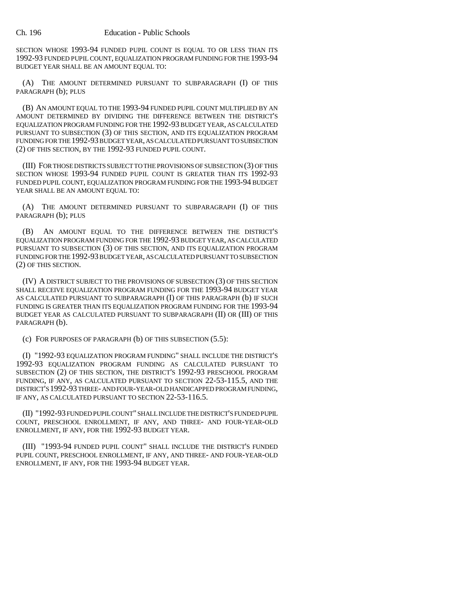SECTION WHOSE 1993-94 FUNDED PUPIL COUNT IS EQUAL TO OR LESS THAN ITS 1992-93 FUNDED PUPIL COUNT, EQUALIZATION PROGRAM FUNDING FOR THE 1993-94 BUDGET YEAR SHALL BE AN AMOUNT EQUAL TO:

(A) THE AMOUNT DETERMINED PURSUANT TO SUBPARAGRAPH (I) OF THIS PARAGRAPH (b); PLUS

(B) AN AMOUNT EQUAL TO THE 1993-94 FUNDED PUPIL COUNT MULTIPLIED BY AN AMOUNT DETERMINED BY DIVIDING THE DIFFERENCE BETWEEN THE DISTRICT'S EQUALIZATION PROGRAM FUNDING FOR THE 1992-93 BUDGET YEAR, AS CALCULATED PURSUANT TO SUBSECTION (3) OF THIS SECTION, AND ITS EQUALIZATION PROGRAM FUNDING FOR THE 1992-93 BUDGET YEAR, AS CALCULATED PURSUANT TO SUBSECTION (2) OF THIS SECTION, BY THE 1992-93 FUNDED PUPIL COUNT.

(III) FOR THOSE DISTRICTS SUBJECT TO THE PROVISIONS OF SUBSECTION (3) OF THIS SECTION WHOSE 1993-94 FUNDED PUPIL COUNT IS GREATER THAN ITS 1992-93 FUNDED PUPIL COUNT, EQUALIZATION PROGRAM FUNDING FOR THE 1993-94 BUDGET YEAR SHALL BE AN AMOUNT EQUAL TO:

(A) THE AMOUNT DETERMINED PURSUANT TO SUBPARAGRAPH (I) OF THIS PARAGRAPH (b); PLUS

(B) AN AMOUNT EQUAL TO THE DIFFERENCE BETWEEN THE DISTRICT'S EQUALIZATION PROGRAM FUNDING FOR THE 1992-93 BUDGET YEAR, AS CALCULATED PURSUANT TO SUBSECTION (3) OF THIS SECTION, AND ITS EQUALIZATION PROGRAM FUNDING FOR THE 1992-93 BUDGET YEAR, AS CALCULATED PURSUANT TO SUBSECTION (2) OF THIS SECTION.

(IV) A DISTRICT SUBJECT TO THE PROVISIONS OF SUBSECTION (3) OF THIS SECTION SHALL RECEIVE EQUALIZATION PROGRAM FUNDING FOR THE 1993-94 BUDGET YEAR AS CALCULATED PURSUANT TO SUBPARAGRAPH (I) OF THIS PARAGRAPH (b) IF SUCH FUNDING IS GREATER THAN ITS EQUALIZATION PROGRAM FUNDING FOR THE 1993-94 BUDGET YEAR AS CALCULATED PURSUANT TO SUBPARAGRAPH (II) OR (III) OF THIS PARAGRAPH (b).

(c) FOR PURPOSES OF PARAGRAPH (b) OF THIS SUBSECTION (5.5):

(I) "1992-93 EQUALIZATION PROGRAM FUNDING" SHALL INCLUDE THE DISTRICT'S 1992-93 EQUALIZATION PROGRAM FUNDING AS CALCULATED PURSUANT TO SUBSECTION (2) OF THIS SECTION, THE DISTRICT'S 1992-93 PRESCHOOL PROGRAM FUNDING, IF ANY, AS CALCULATED PURSUANT TO SECTION 22-53-115.5, AND THE DISTRICT'S 1992-93 THREE- AND FOUR-YEAR-OLD HANDICAPPED PROGRAM FUNDING, IF ANY, AS CALCULATED PURSUANT TO SECTION 22-53-116.5.

(II) "1992-93 FUNDED PUPIL COUNT" SHALL INCLUDE THE DISTRICT'S FUNDED PUPIL COUNT, PRESCHOOL ENROLLMENT, IF ANY, AND THREE- AND FOUR-YEAR-OLD ENROLLMENT, IF ANY, FOR THE 1992-93 BUDGET YEAR.

(III) "1993-94 FUNDED PUPIL COUNT" SHALL INCLUDE THE DISTRICT'S FUNDED PUPIL COUNT, PRESCHOOL ENROLLMENT, IF ANY, AND THREE- AND FOUR-YEAR-OLD ENROLLMENT, IF ANY, FOR THE 1993-94 BUDGET YEAR.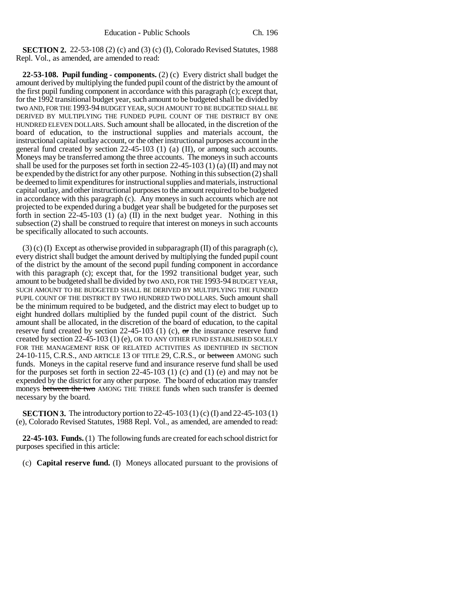**SECTION 2.** 22-53-108 (2) (c) and (3) (c) (I), Colorado Revised Statutes, 1988 Repl. Vol., as amended, are amended to read:

**22-53-108. Pupil funding - components.** (2) (c) Every district shall budget the amount derived by multiplying the funded pupil count of the district by the amount of the first pupil funding component in accordance with this paragraph (c); except that, for the 1992 transitional budget year, such amount to be budgeted shall be divided by two AND, FOR THE 1993-94 BUDGET YEAR, SUCH AMOUNT TO BE BUDGETED SHALL BE DERIVED BY MULTIPLYING THE FUNDED PUPIL COUNT OF THE DISTRICT BY ONE HUNDRED ELEVEN DOLLARS. Such amount shall be allocated, in the discretion of the board of education, to the instructional supplies and materials account, the instructional capital outlay account, or the other instructional purposes account in the general fund created by section 22-45-103 (1) (a) (II), or among such accounts. Moneys may be transferred among the three accounts. The moneys in such accounts shall be used for the purposes set forth in section 22-45-103 (1) (a) (II) and may not be expended by the district for any other purpose. Nothing in this subsection (2) shall be deemed to limit expenditures for instructional supplies and materials, instructional capital outlay, and other instructional purposes to the amount required to be budgeted in accordance with this paragraph (c). Any moneys in such accounts which are not projected to be expended during a budget year shall be budgeted for the purposes set forth in section  $22-45-103$  (1) (a) (II) in the next budget year. Nothing in this subsection (2) shall be construed to require that interest on moneys in such accounts be specifically allocated to such accounts.

(3) (c) (I) Except as otherwise provided in subparagraph (II) of this paragraph (c), every district shall budget the amount derived by multiplying the funded pupil count of the district by the amount of the second pupil funding component in accordance with this paragraph (c); except that, for the 1992 transitional budget year, such amount to be budgeted shall be divided by two AND, FOR THE 1993-94 BUDGET YEAR, SUCH AMOUNT TO BE BUDGETED SHALL BE DERIVED BY MULTIPLYING THE FUNDED PUPIL COUNT OF THE DISTRICT BY TWO HUNDRED TWO DOLLARS. Such amount shall be the minimum required to be budgeted, and the district may elect to budget up to eight hundred dollars multiplied by the funded pupil count of the district. Such amount shall be allocated, in the discretion of the board of education, to the capital reserve fund created by section 22-45-103 (1) (c),  $\sigma$ r the insurance reserve fund created by section 22-45-103 (1) (e), OR TO ANY OTHER FUND ESTABLISHED SOLELY FOR THE MANAGEMENT RISK OF RELATED ACTIVITIES AS IDENTIFIED IN SECTION 24-10-115, C.R.S., AND ARTICLE 13 OF TITLE 29, C.R.S., or between AMONG such funds. Moneys in the capital reserve fund and insurance reserve fund shall be used for the purposes set forth in section 22-45-103 (1) (c) and (1) (e) and may not be expended by the district for any other purpose. The board of education may transfer moneys between the two AMONG THE THREE funds when such transfer is deemed necessary by the board.

**SECTION 3.** The introductory portion to 22-45-103 (1) (c) (I) and 22-45-103 (1) (e), Colorado Revised Statutes, 1988 Repl. Vol., as amended, are amended to read:

**22-45-103. Funds.** (1) The following funds are created for each school district for purposes specified in this article:

(c) **Capital reserve fund.** (I) Moneys allocated pursuant to the provisions of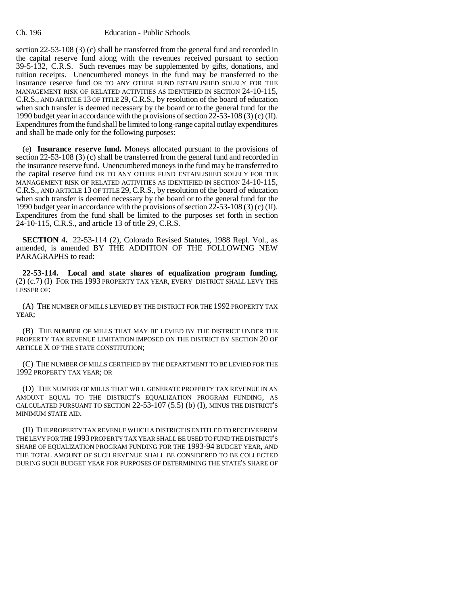section 22-53-108 (3) (c) shall be transferred from the general fund and recorded in the capital reserve fund along with the revenues received pursuant to section 39-5-132, C.R.S. Such revenues may be supplemented by gifts, donations, and tuition receipts. Unencumbered moneys in the fund may be transferred to the insurance reserve fund OR TO ANY OTHER FUND ESTABLISHED SOLELY FOR THE MANAGEMENT RISK OF RELATED ACTIVITIES AS IDENTIFIED IN SECTION 24-10-115, C.R.S., AND ARTICLE 13 OF TITLE 29, C.R.S., by resolution of the board of education when such transfer is deemed necessary by the board or to the general fund for the 1990 budget year in accordance with the provisions of section 22-53-108 (3) (c) (II). Expenditures from the fund shall be limited to long-range capital outlay expenditures and shall be made only for the following purposes:

(e) **Insurance reserve fund.** Moneys allocated pursuant to the provisions of section 22-53-108 (3) (c) shall be transferred from the general fund and recorded in the insurance reserve fund. Unencumbered moneys in the fund may be transferred to the capital reserve fund OR TO ANY OTHER FUND ESTABLISHED SOLELY FOR THE MANAGEMENT RISK OF RELATED ACTIVITIES AS IDENTIFIED IN SECTION 24-10-115, C.R.S., AND ARTICLE 13 OF TITLE 29,C.R.S., by resolution of the board of education when such transfer is deemed necessary by the board or to the general fund for the 1990 budget year in accordance with the provisions of section 22-53-108 (3) (c) (II). Expenditures from the fund shall be limited to the purposes set forth in section 24-10-115, C.R.S., and article 13 of title 29, C.R.S.

**SECTION 4.** 22-53-114 (2), Colorado Revised Statutes, 1988 Repl. Vol., as amended, is amended BY THE ADDITION OF THE FOLLOWING NEW PARAGRAPHS to read:

**22-53-114. Local and state shares of equalization program funding.** (2) (c.7) (I) FOR THE 1993 PROPERTY TAX YEAR, EVERY DISTRICT SHALL LEVY THE LESSER OF:

(A) THE NUMBER OF MILLS LEVIED BY THE DISTRICT FOR THE 1992 PROPERTY TAX YEAR;

(B) THE NUMBER OF MILLS THAT MAY BE LEVIED BY THE DISTRICT UNDER THE PROPERTY TAX REVENUE LIMITATION IMPOSED ON THE DISTRICT BY SECTION 20 OF ARTICLE X OF THE STATE CONSTITUTION;

(C) THE NUMBER OF MILLS CERTIFIED BY THE DEPARTMENT TO BE LEVIED FOR THE 1992 PROPERTY TAX YEAR; OR

(D) THE NUMBER OF MILLS THAT WILL GENERATE PROPERTY TAX REVENUE IN AN AMOUNT EQUAL TO THE DISTRICT'S EQUALIZATION PROGRAM FUNDING, AS CALCULATED PURSUANT TO SECTION 22-53-107 (5.5) (b) (I), MINUS THE DISTRICT'S MINIMUM STATE AID.

(II) THE PROPERTY TAX REVENUE WHICH A DISTRICT IS ENTITLED TO RECEIVE FROM THE LEVY FOR THE 1993 PROPERTY TAX YEAR SHALL BE USED TO FUND THE DISTRICT'S SHARE OF EQUALIZATION PROGRAM FUNDING FOR THE 1993-94 BUDGET YEAR, AND THE TOTAL AMOUNT OF SUCH REVENUE SHALL BE CONSIDERED TO BE COLLECTED DURING SUCH BUDGET YEAR FOR PURPOSES OF DETERMINING THE STATE'S SHARE OF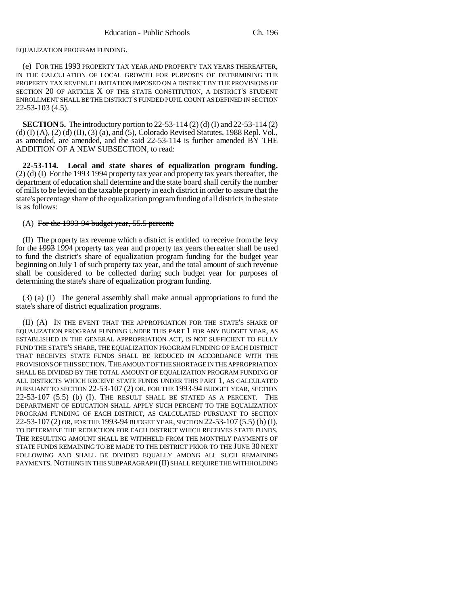#### EQUALIZATION PROGRAM FUNDING.

(e) FOR THE 1993 PROPERTY TAX YEAR AND PROPERTY TAX YEARS THEREAFTER, IN THE CALCULATION OF LOCAL GROWTH FOR PURPOSES OF DETERMINING THE PROPERTY TAX REVENUE LIMITATION IMPOSED ON A DISTRICT BY THE PROVISIONS OF SECTION 20 OF ARTICLE X OF THE STATE CONSTITUTION, A DISTRICT'S STUDENT ENROLLMENT SHALL BE THE DISTRICT'S FUNDED PUPIL COUNT AS DEFINED IN SECTION 22-53-103 (4.5).

**SECTION 5.** The introductory portion to 22-53-114 (2) (d) (I) and 22-53-114 (2) (d)  $(I)$   $(A)$ ,  $(2)$   $(d)$   $(II)$ ,  $(3)$   $(a)$ , and  $(5)$ , Colorado Revised Statutes, 1988 Repl. Vol., as amended, are amended, and the said 22-53-114 is further amended BY THE ADDITION OF A NEW SUBSECTION, to read:

**22-53-114. Local and state shares of equalization program funding.** (2) (d) (I) For the 1993 1994 property tax year and property tax years thereafter, the department of education shall determine and the state board shall certify the number of mills to be levied on the taxable property in each district in order to assure that the state's percentage share of the equalization program funding of all districts in the state is as follows:

### (A) For the 1993-94 budget year, 55.5 percent;

(II) The property tax revenue which a district is entitled to receive from the levy for the 1993 1994 property tax year and property tax years thereafter shall be used to fund the district's share of equalization program funding for the budget year beginning on July 1 of such property tax year, and the total amount of such revenue shall be considered to be collected during such budget year for purposes of determining the state's share of equalization program funding.

(3) (a) (I) The general assembly shall make annual appropriations to fund the state's share of district equalization programs.

(II) (A) IN THE EVENT THAT THE APPROPRIATION FOR THE STATE'S SHARE OF EQUALIZATION PROGRAM FUNDING UNDER THIS PART 1 FOR ANY BUDGET YEAR, AS ESTABLISHED IN THE GENERAL APPROPRIATION ACT, IS NOT SUFFICIENT TO FULLY FUND THE STATE'S SHARE, THE EQUALIZATION PROGRAM FUNDING OF EACH DISTRICT THAT RECEIVES STATE FUNDS SHALL BE REDUCED IN ACCORDANCE WITH THE PROVISIONS OF THIS SECTION. THE AMOUNT OF THE SHORTAGE IN THE APPROPRIATION SHALL BE DIVIDED BY THE TOTAL AMOUNT OF EQUALIZATION PROGRAM FUNDING OF ALL DISTRICTS WHICH RECEIVE STATE FUNDS UNDER THIS PART 1, AS CALCULATED PURSUANT TO SECTION 22-53-107 (2) OR, FOR THE 1993-94 BUDGET YEAR, SECTION 22-53-107 (5.5) (b) (I). THE RESULT SHALL BE STATED AS A PERCENT. THE DEPARTMENT OF EDUCATION SHALL APPLY SUCH PERCENT TO THE EQUALIZATION PROGRAM FUNDING OF EACH DISTRICT, AS CALCULATED PURSUANT TO SECTION 22-53-107 (2) OR, FOR THE 1993-94 BUDGET YEAR, SECTION 22-53-107 (5.5) (b) (I), TO DETERMINE THE REDUCTION FOR EACH DISTRICT WHICH RECEIVES STATE FUNDS. THE RESULTING AMOUNT SHALL BE WITHHELD FROM THE MONTHLY PAYMENTS OF STATE FUNDS REMAINING TO BE MADE TO THE DISTRICT PRIOR TO THE JUNE 30 NEXT FOLLOWING AND SHALL BE DIVIDED EQUALLY AMONG ALL SUCH REMAINING PAYMENTS. NOTHING IN THIS SUBPARAGRAPH (II) SHALL REQUIRE THE WITHHOLDING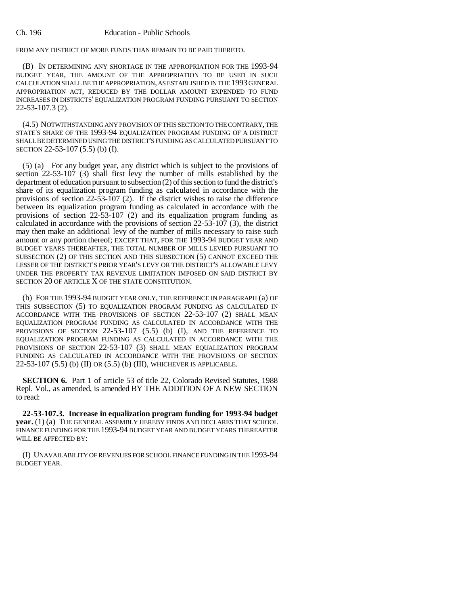#### Ch. 196 Education - Public Schools

## FROM ANY DISTRICT OF MORE FUNDS THAN REMAIN TO BE PAID THERETO.

(B) IN DETERMINING ANY SHORTAGE IN THE APPROPRIATION FOR THE 1993-94 BUDGET YEAR, THE AMOUNT OF THE APPROPRIATION TO BE USED IN SUCH CALCULATION SHALL BE THE APPROPRIATION, AS ESTABLISHED IN THE 1993 GENERAL APPROPRIATION ACT, REDUCED BY THE DOLLAR AMOUNT EXPENDED TO FUND INCREASES IN DISTRICTS' EQUALIZATION PROGRAM FUNDING PURSUANT TO SECTION 22-53-107.3 (2).

(4.5) NOTWITHSTANDING ANY PROVISION OF THIS SECTION TO THE CONTRARY, THE STATE'S SHARE OF THE 1993-94 EQUALIZATION PROGRAM FUNDING OF A DISTRICT SHALL BE DETERMINED USING THE DISTRICT'S FUNDING AS CALCULATED PURSUANT TO SECTION 22-53-107 (5.5) (b) (I).

(5) (a) For any budget year, any district which is subject to the provisions of section 22-53-107 (3) shall first levy the number of mills established by the department of education pursuant to subsection (2) of this section to fund the district's share of its equalization program funding as calculated in accordance with the provisions of section  $22-\overline{5}3-\overline{1}07$  (2). If the district wishes to raise the difference between its equalization program funding as calculated in accordance with the provisions of section 22-53-107 (2) and its equalization program funding as calculated in accordance with the provisions of section 22-53-107 (3), the district may then make an additional levy of the number of mills necessary to raise such amount or any portion thereof; EXCEPT THAT, FOR THE 1993-94 BUDGET YEAR AND BUDGET YEARS THEREAFTER, THE TOTAL NUMBER OF MILLS LEVIED PURSUANT TO SUBSECTION (2) OF THIS SECTION AND THIS SUBSECTION (5) CANNOT EXCEED THE LESSER OF THE DISTRICT'S PRIOR YEAR'S LEVY OR THE DISTRICT'S ALLOWABLE LEVY UNDER THE PROPERTY TAX REVENUE LIMITATION IMPOSED ON SAID DISTRICT BY SECTION 20 OF ARTICLE X OF THE STATE CONSTITUTION.

(b) FOR THE 1993-94 BUDGET YEAR ONLY, THE REFERENCE IN PARAGRAPH (a) OF THIS SUBSECTION (5) TO EQUALIZATION PROGRAM FUNDING AS CALCULATED IN ACCORDANCE WITH THE PROVISIONS OF SECTION 22-53-107 (2) SHALL MEAN EQUALIZATION PROGRAM FUNDING AS CALCULATED IN ACCORDANCE WITH THE PROVISIONS OF SECTION 22-53-107 (5.5) (b) (I), AND THE REFERENCE TO EQUALIZATION PROGRAM FUNDING AS CALCULATED IN ACCORDANCE WITH THE PROVISIONS OF SECTION 22-53-107 (3) SHALL MEAN EQUALIZATION PROGRAM FUNDING AS CALCULATED IN ACCORDANCE WITH THE PROVISIONS OF SECTION 22-53-107 (5.5) (b) (II) OR (5.5) (b) (III), WHICHEVER IS APPLICABLE.

**SECTION 6.** Part 1 of article 53 of title 22, Colorado Revised Statutes, 1988 Repl. Vol., as amended, is amended BY THE ADDITION OF A NEW SECTION to read:

**22-53-107.3. Increase in equalization program funding for 1993-94 budget year.** (1) (a) THE GENERAL ASSEMBLY HEREBY FINDS AND DECLARES THAT SCHOOL FINANCE FUNDING FOR THE 1993-94 BUDGET YEAR AND BUDGET YEARS THEREAFTER WILL BE AFFECTED BY:

(I) UNAVAILABILITY OF REVENUES FOR SCHOOL FINANCE FUNDING IN THE 1993-94 BUDGET YEAR.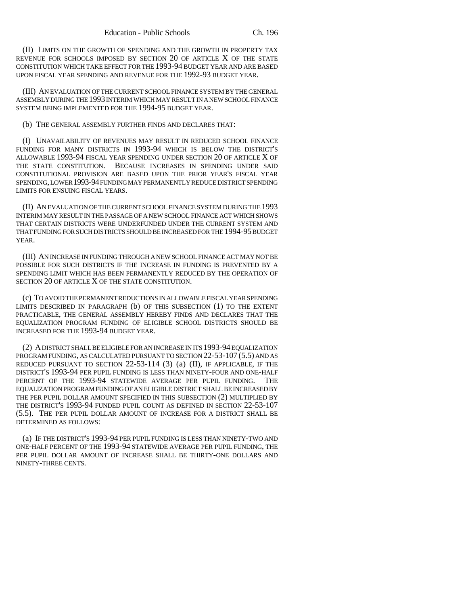(II) LIMITS ON THE GROWTH OF SPENDING AND THE GROWTH IN PROPERTY TAX REVENUE FOR SCHOOLS IMPOSED BY SECTION 20 OF ARTICLE X OF THE STATE CONSTITUTION WHICH TAKE EFFECT FOR THE 1993-94 BUDGET YEAR AND ARE BASED UPON FISCAL YEAR SPENDING AND REVENUE FOR THE 1992-93 BUDGET YEAR.

(III) AN EVALUATION OF THE CURRENT SCHOOL FINANCE SYSTEM BY THE GENERAL ASSEMBLY DURING THE 1993 INTERIM WHICH MAY RESULT IN A NEW SCHOOL FINANCE SYSTEM BEING IMPLEMENTED FOR THE 1994-95 BUDGET YEAR.

(b) THE GENERAL ASSEMBLY FURTHER FINDS AND DECLARES THAT:

(I) UNAVAILABILITY OF REVENUES MAY RESULT IN REDUCED SCHOOL FINANCE FUNDING FOR MANY DISTRICTS IN 1993-94 WHICH IS BELOW THE DISTRICT'S ALLOWABLE 1993-94 FISCAL YEAR SPENDING UNDER SECTION 20 OF ARTICLE X OF THE STATE CONSTITUTION. BECAUSE INCREASES IN SPENDING UNDER SAID CONSTITUTIONAL PROVISION ARE BASED UPON THE PRIOR YEAR'S FISCAL YEAR SPENDING, LOWER 1993-94 FUNDING MAY PERMANENTLY REDUCE DISTRICT SPENDING LIMITS FOR ENSUING FISCAL YEARS.

(II) AN EVALUATION OF THE CURRENT SCHOOL FINANCE SYSTEM DURING THE 1993 INTERIM MAY RESULT IN THE PASSAGE OF A NEW SCHOOL FINANCE ACT WHICH SHOWS THAT CERTAIN DISTRICTS WERE UNDERFUNDED UNDER THE CURRENT SYSTEM AND THAT FUNDING FOR SUCH DISTRICTS SHOULD BE INCREASED FOR THE 1994-95 BUDGET YEAR.

(III) AN INCREASE IN FUNDING THROUGH A NEW SCHOOL FINANCE ACT MAY NOT BE POSSIBLE FOR SUCH DISTRICTS IF THE INCREASE IN FUNDING IS PREVENTED BY A SPENDING LIMIT WHICH HAS BEEN PERMANENTLY REDUCED BY THE OPERATION OF SECTION 20 OF ARTICLE X OF THE STATE CONSTITUTION.

(c) TO AVOID THE PERMANENT REDUCTIONS IN ALLOWABLE FISCAL YEAR SPENDING LIMITS DESCRIBED IN PARAGRAPH (b) OF THIS SUBSECTION (1) TO THE EXTENT PRACTICABLE, THE GENERAL ASSEMBLY HEREBY FINDS AND DECLARES THAT THE EQUALIZATION PROGRAM FUNDING OF ELIGIBLE SCHOOL DISTRICTS SHOULD BE INCREASED FOR THE 1993-94 BUDGET YEAR.

(2) A DISTRICT SHALL BE ELIGIBLE FOR AN INCREASE IN ITS 1993-94 EQUALIZATION PROGRAM FUNDING, AS CALCULATED PURSUANT TO SECTION 22-53-107 (5.5) AND AS REDUCED PURSUANT TO SECTION 22-53-114 (3) (a) (II), IF APPLICABLE, IF THE DISTRICT'S 1993-94 PER PUPIL FUNDING IS LESS THAN NINETY-FOUR AND ONE-HALF PERCENT OF THE 1993-94 STATEWIDE AVERAGE PER PUPIL FUNDING. THE EQUALIZATION PROGRAM FUNDING OF AN ELIGIBLE DISTRICT SHALL BE INCREASED BY THE PER PUPIL DOLLAR AMOUNT SPECIFIED IN THIS SUBSECTION (2) MULTIPLIED BY THE DISTRICT'S 1993-94 FUNDED PUPIL COUNT AS DEFINED IN SECTION 22-53-107 (5.5). THE PER PUPIL DOLLAR AMOUNT OF INCREASE FOR A DISTRICT SHALL BE DETERMINED AS FOLLOWS:

(a) IF THE DISTRICT'S 1993-94 PER PUPIL FUNDING IS LESS THAN NINETY-TWO AND ONE-HALF PERCENT OF THE 1993-94 STATEWIDE AVERAGE PER PUPIL FUNDING, THE PER PUPIL DOLLAR AMOUNT OF INCREASE SHALL BE THIRTY-ONE DOLLARS AND NINETY-THREE CENTS.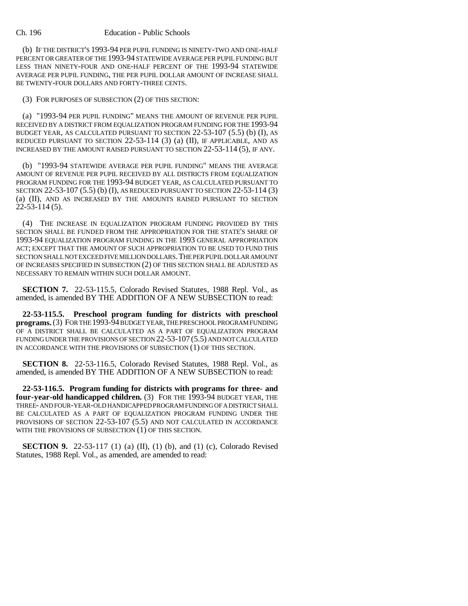#### Ch. 196 Education - Public Schools

(b) IF THE DISTRICT'S 1993-94 PER PUPIL FUNDING IS NINETY-TWO AND ONE-HALF PERCENT OR GREATER OF THE 1993-94 STATEWIDE AVERAGE PER PUPIL FUNDING BUT LESS THAN NINETY-FOUR AND ONE-HALF PERCENT OF THE 1993-94 STATEWIDE AVERAGE PER PUPIL FUNDING, THE PER PUPIL DOLLAR AMOUNT OF INCREASE SHALL BE TWENTY-FOUR DOLLARS AND FORTY-THREE CENTS.

(3) FOR PURPOSES OF SUBSECTION (2) OF THIS SECTION:

(a) "1993-94 PER PUPIL FUNDING" MEANS THE AMOUNT OF REVENUE PER PUPIL RECEIVED BY A DISTRICT FROM EQUALIZATION PROGRAM FUNDING FOR THE 1993-94 BUDGET YEAR, AS CALCULATED PURSUANT TO SECTION 22-53-107 (5.5) (b) (I), AS REDUCED PURSUANT TO SECTION 22-53-114 (3) (a) (II), IF APPLICABLE, AND AS INCREASED BY THE AMOUNT RAISED PURSUANT TO SECTION 22-53-114 (5), IF ANY.

(b) "1993-94 STATEWIDE AVERAGE PER PUPIL FUNDING" MEANS THE AVERAGE AMOUNT OF REVENUE PER PUPIL RECEIVED BY ALL DISTRICTS FROM EQUALIZATION PROGRAM FUNDING FOR THE 1993-94 BUDGET YEAR, AS CALCULATED PURSUANT TO SECTION 22-53-107 (5.5) (b) (I), AS REDUCED PURSUANT TO SECTION 22-53-114 (3) (a) (II), AND AS INCREASED BY THE AMOUNTS RAISED PURSUANT TO SECTION 22-53-114 (5).

(4) THE INCREASE IN EQUALIZATION PROGRAM FUNDING PROVIDED BY THIS SECTION SHALL BE FUNDED FROM THE APPROPRIATION FOR THE STATE'S SHARE OF 1993-94 EQUALIZATION PROGRAM FUNDING IN THE 1993 GENERAL APPROPRIATION ACT; EXCEPT THAT THE AMOUNT OF SUCH APPROPRIATION TO BE USED TO FUND THIS SECTION SHALL NOT EXCEED FIVE MILLION DOLLARS. THE PER PUPIL DOLLAR AMOUNT OF INCREASES SPECIFIED IN SUBSECTION (2) OF THIS SECTION SHALL BE ADJUSTED AS NECESSARY TO REMAIN WITHIN SUCH DOLLAR AMOUNT.

**SECTION 7.** 22-53-115.5, Colorado Revised Statutes, 1988 Repl. Vol., as amended, is amended BY THE ADDITION OF A NEW SUBSECTION to read:

**22-53-115.5. Preschool program funding for districts with preschool programs.** (3) FOR THE 1993-94 BUDGET YEAR, THE PRESCHOOL PROGRAM FUNDING OF A DISTRICT SHALL BE CALCULATED AS A PART OF EQUALIZATION PROGRAM FUNDING UNDER THE PROVISIONS OF SECTION 22-53-107 (5.5) AND NOT CALCULATED IN ACCORDANCE WITH THE PROVISIONS OF SUBSECTION (1) OF THIS SECTION.

**SECTION 8.** 22-53-116.5, Colorado Revised Statutes, 1988 Repl. Vol., as amended, is amended BY THE ADDITION OF A NEW SUBSECTION to read:

**22-53-116.5. Program funding for districts with programs for three- and four-year-old handicapped children.** (3) FOR THE 1993-94 BUDGET YEAR, THE THREE- AND FOUR-YEAR-OLD HANDICAPPED PROGRAM FUNDING OF A DISTRICT SHALL BE CALCULATED AS A PART OF EQUALIZATION PROGRAM FUNDING UNDER THE PROVISIONS OF SECTION 22-53-107 (5.5) AND NOT CALCULATED IN ACCORDANCE WITH THE PROVISIONS OF SUBSECTION (1) OF THIS SECTION.

**SECTION 9.** 22-53-117 (1) (a) (II), (1) (b), and (1) (c), Colorado Revised Statutes, 1988 Repl. Vol., as amended, are amended to read: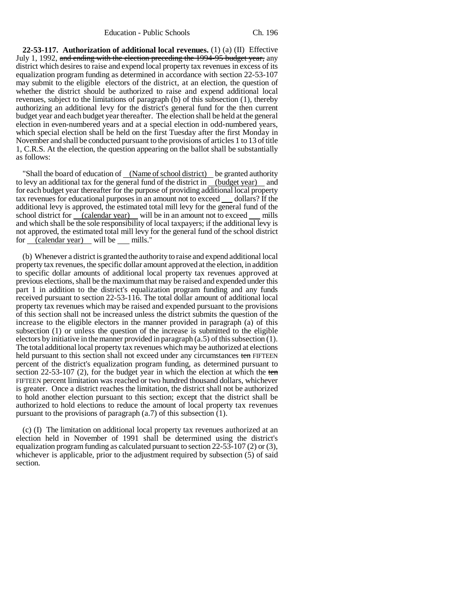**22-53-117. Authorization of additional local revenues.** (1) (a) (II) Effective July 1, 1992, and ending with the election preceding the 1994-95 budget year, any district which desires to raise and expend local property tax revenues in excess of its equalization program funding as determined in accordance with section 22-53-107 may submit to the eligible electors of the district, at an election, the question of whether the district should be authorized to raise and expend additional local revenues, subject to the limitations of paragraph (b) of this subsection (1), thereby authorizing an additional levy for the district's general fund for the then current budget year and each budget year thereafter. The election shall be held at the general election in even-numbered years and at a special election in odd-numbered years, which special election shall be held on the first Tuesday after the first Monday in November and shall be conducted pursuant to the provisions of articles 1 to 13 of title 1, C.R.S. At the election, the question appearing on the ballot shall be substantially as follows:

"Shall the board of education of (Name of school district) be granted authority to levy an additional tax for the general fund of the district in (budget year) and for each budget year thereafter for the purpose of providing additional local property tax revenues for educational purposes in an amount not to exceed dollars? If the additional levy is approved, the estimated total mill levy for the general fund of the school district for (calendar year) will be in an amount not to exceed mills and which shall be the sole responsibility of local taxpayers; if the additional levy is not approved, the estimated total mill levy for the general fund of the school district for (calendar year) will be mills."

(b) Whenever a district is granted the authority to raise and expend additional local property tax revenues, the specific dollar amount approved at the election, in addition to specific dollar amounts of additional local property tax revenues approved at previous elections, shall be the maximum that may be raised and expended under this part 1 in addition to the district's equalization program funding and any funds received pursuant to section 22-53-116. The total dollar amount of additional local property tax revenues which may be raised and expended pursuant to the provisions of this section shall not be increased unless the district submits the question of the increase to the eligible electors in the manner provided in paragraph (a) of this subsection (1) or unless the question of the increase is submitted to the eligible electors by initiative in the manner provided in paragraph (a.5) of this subsection (1). The total additional local property tax revenues which may be authorized at elections held pursuant to this section shall not exceed under any circumstances ten FIFTEEN percent of the district's equalization program funding, as determined pursuant to section  $22-53-107$  (2), for the budget year in which the election at which the ten FIFTEEN percent limitation was reached or two hundred thousand dollars, whichever is greater. Once a district reaches the limitation, the district shall not be authorized to hold another election pursuant to this section; except that the district shall be authorized to hold elections to reduce the amount of local property tax revenues pursuant to the provisions of paragraph (a.7) of this subsection (1).

(c) (I) The limitation on additional local property tax revenues authorized at an election held in November of 1991 shall be determined using the district's equalization program funding as calculated pursuant to section 22-53-107 (2) or (3), whichever is applicable, prior to the adjustment required by subsection (5) of said section.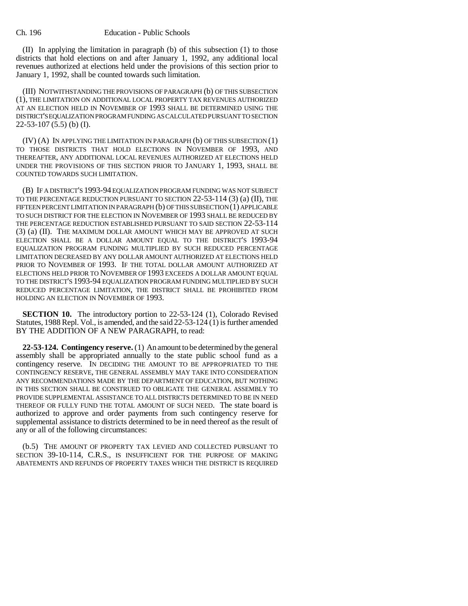(II) In applying the limitation in paragraph (b) of this subsection (1) to those districts that hold elections on and after January 1, 1992, any additional local revenues authorized at elections held under the provisions of this section prior to January 1, 1992, shall be counted towards such limitation.

(III) NOTWITHSTANDING THE PROVISIONS OF PARAGRAPH (b) OF THIS SUBSECTION (1), THE LIMITATION ON ADDITIONAL LOCAL PROPERTY TAX REVENUES AUTHORIZED AT AN ELECTION HELD IN NOVEMBER OF 1993 SHALL BE DETERMINED USING THE DISTRICT'S EQUALIZATION PROGRAM FUNDING AS CALCULATED PURSUANT TO SECTION 22-53-107 (5.5) (b) (I).

(IV) (A) IN APPLYING THE LIMITATION IN PARAGRAPH (b) OF THIS SUBSECTION (1) TO THOSE DISTRICTS THAT HOLD ELECTIONS IN NOVEMBER OF 1993, AND THEREAFTER, ANY ADDITIONAL LOCAL REVENUES AUTHORIZED AT ELECTIONS HELD UNDER THE PROVISIONS OF THIS SECTION PRIOR TO JANUARY 1, 1993, SHALL BE COUNTED TOWARDS SUCH LIMITATION.

(B) IF A DISTRICT'S 1993-94 EQUALIZATION PROGRAM FUNDING WAS NOT SUBJECT TO THE PERCENTAGE REDUCTION PURSUANT TO SECTION 22-53-114 (3) (a) (II), THE FIFTEEN PERCENT LIMITATION IN PARAGRAPH (b) OF THIS SUBSECTION (1) APPLICABLE TO SUCH DISTRICT FOR THE ELECTION IN NOVEMBER OF 1993 SHALL BE REDUCED BY THE PERCENTAGE REDUCTION ESTABLISHED PURSUANT TO SAID SECTION 22-53-114 (3) (a) (II). THE MAXIMUM DOLLAR AMOUNT WHICH MAY BE APPROVED AT SUCH ELECTION SHALL BE A DOLLAR AMOUNT EQUAL TO THE DISTRICT'S 1993-94 EQUALIZATION PROGRAM FUNDING MULTIPLIED BY SUCH REDUCED PERCENTAGE LIMITATION DECREASED BY ANY DOLLAR AMOUNT AUTHORIZED AT ELECTIONS HELD PRIOR TO NOVEMBER OF 1993. IF THE TOTAL DOLLAR AMOUNT AUTHORIZED AT ELECTIONS HELD PRIOR TO NOVEMBER OF 1993 EXCEEDS A DOLLAR AMOUNT EQUAL TO THE DISTRICT'S 1993-94 EQUALIZATION PROGRAM FUNDING MULTIPLIED BY SUCH REDUCED PERCENTAGE LIMITATION, THE DISTRICT SHALL BE PROHIBITED FROM HOLDING AN ELECTION IN NOVEMBER OF 1993.

**SECTION 10.** The introductory portion to 22-53-124 (1), Colorado Revised Statutes, 1988 Repl. Vol., is amended, and the said 22-53-124 (1) is further amended BY THE ADDITION OF A NEW PARAGRAPH, to read:

**22-53-124. Contingency reserve.** (1) An amount to be determined by the general assembly shall be appropriated annually to the state public school fund as a contingency reserve. IN DECIDING THE AMOUNT TO BE APPROPRIATED TO THE CONTINGENCY RESERVE, THE GENERAL ASSEMBLY MAY TAKE INTO CONSIDERATION ANY RECOMMENDATIONS MADE BY THE DEPARTMENT OF EDUCATION, BUT NOTHING IN THIS SECTION SHALL BE CONSTRUED TO OBLIGATE THE GENERAL ASSEMBLY TO PROVIDE SUPPLEMENTAL ASSISTANCE TO ALL DISTRICTS DETERMINED TO BE IN NEED THEREOF OR FULLY FUND THE TOTAL AMOUNT OF SUCH NEED. The state board is authorized to approve and order payments from such contingency reserve for supplemental assistance to districts determined to be in need thereof as the result of any or all of the following circumstances:

(b.5) THE AMOUNT OF PROPERTY TAX LEVIED AND COLLECTED PURSUANT TO SECTION 39-10-114, C.R.S., IS INSUFFICIENT FOR THE PURPOSE OF MAKING ABATEMENTS AND REFUNDS OF PROPERTY TAXES WHICH THE DISTRICT IS REQUIRED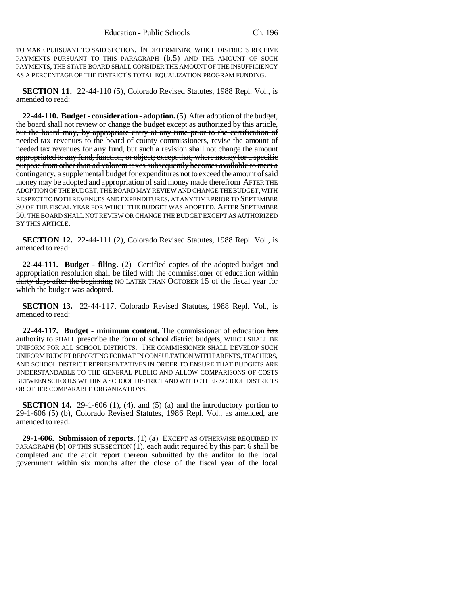TO MAKE PURSUANT TO SAID SECTION. IN DETERMINING WHICH DISTRICTS RECEIVE PAYMENTS PURSUANT TO THIS PARAGRAPH (b.5) AND THE AMOUNT OF SUCH PAYMENTS, THE STATE BOARD SHALL CONSIDER THE AMOUNT OF THE INSUFFICIENCY AS A PERCENTAGE OF THE DISTRICT'S TOTAL EQUALIZATION PROGRAM FUNDING.

**SECTION 11.** 22-44-110 (5), Colorado Revised Statutes, 1988 Repl. Vol., is amended to read:

**22-44-110. Budget - consideration - adoption.** (5) After adoption of the budget, the board shall not review or change the budget except as authorized by this article, but the board may, by appropriate entry at any time prior to the certification of needed tax revenues to the board of county commissioners, revise the amount of needed tax revenues for any fund, but such a revision shall not change the amount appropriated to any fund, function, or object; except that, where money for a specific purpose from other than ad valorem taxes subsequently becomes available to meet a contingency, a supplemental budget for expenditures not to exceed the amount of said money may be adopted and appropriation of said money made therefrom AFTER THE ADOPTION OF THE BUDGET, THE BOARD MAY REVIEW AND CHANGE THE BUDGET, WITH RESPECT TO BOTH REVENUES AND EXPENDITURES, AT ANY TIME PRIOR TO SEPTEMBER 30 OF THE FISCAL YEAR FOR WHICH THE BUDGET WAS ADOPTED. AFTER SEPTEMBER 30, THE BOARD SHALL NOT REVIEW OR CHANGE THE BUDGET EXCEPT AS AUTHORIZED BY THIS ARTICLE.

**SECTION 12.** 22-44-111 (2), Colorado Revised Statutes, 1988 Repl. Vol., is amended to read:

**22-44-111. Budget - filing.** (2) Certified copies of the adopted budget and appropriation resolution shall be filed with the commissioner of education within thirty days after the beginning NO LATER THAN OCTOBER 15 of the fiscal year for which the budget was adopted.

**SECTION 13.** 22-44-117, Colorado Revised Statutes, 1988 Repl. Vol., is amended to read:

**22-44-117. Budget - minimum content.** The commissioner of education has authority to SHALL prescribe the form of school district budgets, WHICH SHALL BE UNIFORM FOR ALL SCHOOL DISTRICTS. THE COMMISSIONER SHALL DEVELOP SUCH UNIFORM BUDGET REPORTING FORMAT IN CONSULTATION WITH PARENTS, TEACHERS, AND SCHOOL DISTRICT REPRESENTATIVES IN ORDER TO ENSURE THAT BUDGETS ARE UNDERSTANDABLE TO THE GENERAL PUBLIC AND ALLOW COMPARISONS OF COSTS BETWEEN SCHOOLS WITHIN A SCHOOL DISTRICT AND WITH OTHER SCHOOL DISTRICTS OR OTHER COMPARABLE ORGANIZATIONS.

**SECTION 14.** 29-1-606 (1), (4), and (5) (a) and the introductory portion to 29-1-606 (5) (b), Colorado Revised Statutes, 1986 Repl. Vol., as amended, are amended to read:

**29-1-606. Submission of reports.** (1) (a) EXCEPT AS OTHERWISE REQUIRED IN PARAGRAPH (b) OF THIS SUBSECTION (1), each audit required by this part 6 shall be completed and the audit report thereon submitted by the auditor to the local government within six months after the close of the fiscal year of the local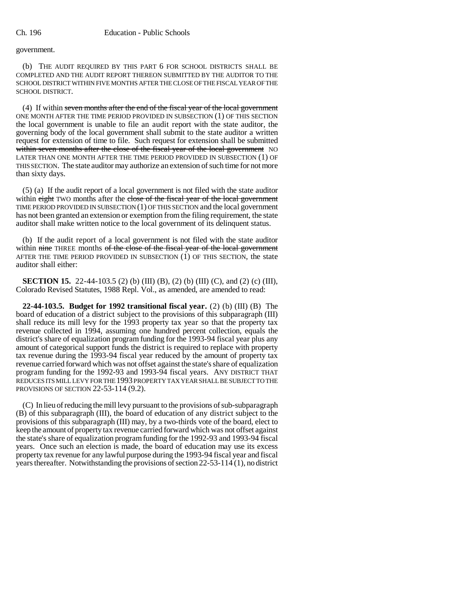## government.

(b) THE AUDIT REQUIRED BY THIS PART 6 FOR SCHOOL DISTRICTS SHALL BE COMPLETED AND THE AUDIT REPORT THEREON SUBMITTED BY THE AUDITOR TO THE SCHOOL DISTRICT WITHIN FIVE MONTHS AFTER THE CLOSE OF THE FISCAL YEAR OF THE SCHOOL DISTRICT.

(4) If within seven months after the end of the fiscal year of the local government ONE MONTH AFTER THE TIME PERIOD PROVIDED IN SUBSECTION (1) OF THIS SECTION the local government is unable to file an audit report with the state auditor, the governing body of the local government shall submit to the state auditor a written request for extension of time to file. Such request for extension shall be submitted within seven months after the close of the fiscal year of the local government NO LATER THAN ONE MONTH AFTER THE TIME PERIOD PROVIDED IN SUBSECTION (1) OF THIS SECTION. The state auditor may authorize an extension of such time for not more than sixty days.

(5) (a) If the audit report of a local government is not filed with the state auditor within eight TWO months after the close of the fiscal year of the local government TIME PERIOD PROVIDED IN SUBSECTION (1) OF THIS SECTION and the local government has not been granted an extension or exemption from the filing requirement, the state auditor shall make written notice to the local government of its delinquent status.

(b) If the audit report of a local government is not filed with the state auditor within nine THREE months of the close of the fiscal year of the local government AFTER THE TIME PERIOD PROVIDED IN SUBSECTION (1) OF THIS SECTION, the state auditor shall either:

**SECTION 15.** 22-44-103.5 (2) (b) (III) (B), (2) (b) (III) (C), and (2) (c) (III), Colorado Revised Statutes, 1988 Repl. Vol., as amended, are amended to read:

**22-44-103.5. Budget for 1992 transitional fiscal year.** (2) (b) (III) (B) The board of education of a district subject to the provisions of this subparagraph (III) shall reduce its mill levy for the 1993 property tax year so that the property tax revenue collected in 1994, assuming one hundred percent collection, equals the district's share of equalization program funding for the 1993-94 fiscal year plus any amount of categorical support funds the district is required to replace with property tax revenue during the 1993-94 fiscal year reduced by the amount of property tax revenue carried forward which was not offset against the state's share of equalization program funding for the 1992-93 and 1993-94 fiscal years. ANY DISTRICT THAT REDUCES ITS MILL LEVY FOR THE 1993 PROPERTY TAX YEAR SHALL BE SUBJECT TO THE PROVISIONS OF SECTION 22-53-114 (9.2).

(C) In lieu of reducing the mill levy pursuant to the provisions of sub-subparagraph (B) of this subparagraph (III), the board of education of any district subject to the provisions of this subparagraph (III) may, by a two-thirds vote of the board, elect to keep the amount of property tax revenue carried forward which was not offset against the state's share of equalization program funding for the 1992-93 and 1993-94 fiscal years. Once such an election is made, the board of education may use its excess property tax revenue for any lawful purpose during the 1993-94 fiscal year and fiscal years thereafter. Notwithstanding the provisions of section 22-53-114 (1), no district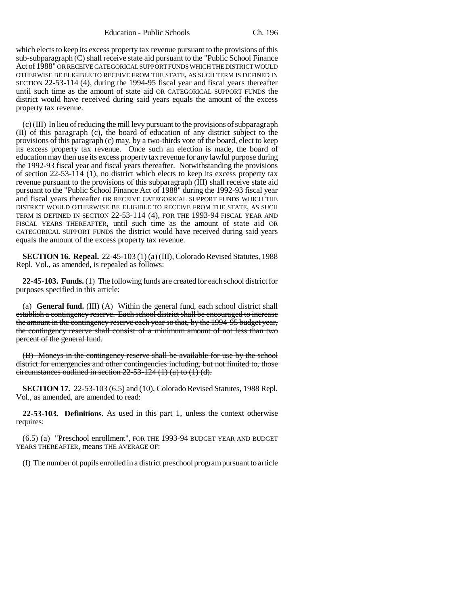Education - Public Schools Ch. 196

which elects to keep its excess property tax revenue pursuant to the provisions of this  $sub-subparagnb$ <sup>(C)</sup> shall receive state aid pursuant to the "Public School Finance" Act of 1988" OR RECEIVE CATEGORICAL SUPPORT FUNDS WHICH THE DISTRICT WOULD OTHERWISE BE ELIGIBLE TO RECEIVE FROM THE STATE, AS SUCH TERM IS DEFINED IN SECTION 22-53-114 (4), during the 1994-95 fiscal year and fiscal years thereafter until such time as the amount of state aid OR CATEGORICAL SUPPORT FUNDS the district would have received during said years equals the amount of the excess property tax revenue.

(c) (III) In lieu of reducing the mill levy pursuant to the provisions of subparagraph (II) of this paragraph (c), the board of education of any district subject to the provisions of this paragraph (c) may, by a two-thirds vote of the board, elect to keep its excess property tax revenue. Once such an election is made, the board of education may then use its excess property tax revenue for any lawful purpose during the 1992-93 fiscal year and fiscal years thereafter. Notwithstanding the provisions of section 22-53-114 (1), no district which elects to keep its excess property tax revenue pursuant to the provisions of this subparagraph (III) shall receive state aid pursuant to the "Public School Finance Act of 1988" during the 1992-93 fiscal year and fiscal years thereafter OR RECEIVE CATEGORICAL SUPPORT FUNDS WHICH THE DISTRICT WOULD OTHERWISE BE ELIGIBLE TO RECEIVE FROM THE STATE, AS SUCH TERM IS DEFINED IN SECTION 22-53-114 (4), FOR THE 1993-94 FISCAL YEAR AND FISCAL YEARS THEREAFTER, until such time as the amount of state aid OR CATEGORICAL SUPPORT FUNDS the district would have received during said years equals the amount of the excess property tax revenue.

**SECTION 16. Repeal.** 22-45-103 (1) (a) (III), Colorado Revised Statutes, 1988 Repl. Vol., as amended, is repealed as follows:

**22-45-103. Funds.** (1) The following funds are created for each school district for purposes specified in this article:

(a) **General fund.** (III) (A) Within the general fund, each school district shall establish a contingency reserve. Each school district shall be encouraged to increase the amount in the contingency reserve each year so that, by the 1994-95 budget year, the contingency reserve shall consist of a minimum amount of not less than two percent of the general fund.

(B) Moneys in the contingency reserve shall be available for use by the school district for emergencies and other contingencies including, but not limited to, those circumstances outlined in section  $22-53-124$  (1) (a) to (1) (d).

**SECTION 17.** 22-53-103 (6.5) and (10), Colorado Revised Statutes, 1988 Repl. Vol., as amended, are amended to read:

**22-53-103. Definitions.** As used in this part 1, unless the context otherwise requires:

(6.5) (a) "Preschool enrollment", FOR THE 1993-94 BUDGET YEAR AND BUDGET YEARS THEREAFTER, means THE AVERAGE OF:

(I) The number of pupils enrolled in a district preschool program pursuant to article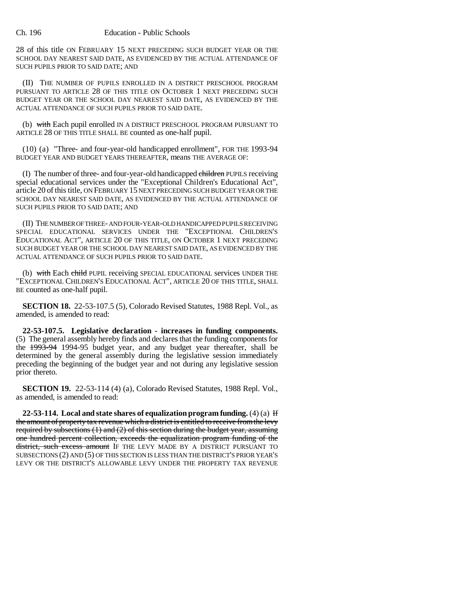#### Ch. 196 Education - Public Schools

28 of this title ON FEBRUARY 15 NEXT PRECEDING SUCH BUDGET YEAR OR THE SCHOOL DAY NEAREST SAID DATE, AS EVIDENCED BY THE ACTUAL ATTENDANCE OF SUCH PUPILS PRIOR TO SAID DATE; AND

(II) THE NUMBER OF PUPILS ENROLLED IN A DISTRICT PRESCHOOL PROGRAM PURSUANT TO ARTICLE 28 OF THIS TITLE ON OCTOBER 1 NEXT PRECEDING SUCH BUDGET YEAR OR THE SCHOOL DAY NEAREST SAID DATE, AS EVIDENCED BY THE ACTUAL ATTENDANCE OF SUCH PUPILS PRIOR TO SAID DATE.

(b) with Each pupil enrolled IN A DISTRICT PRESCHOOL PROGRAM PURSUANT TO ARTICLE 28 OF THIS TITLE SHALL BE counted as one-half pupil.

(10) (a) "Three- and four-year-old handicapped enrollment", FOR THE 1993-94 BUDGET YEAR AND BUDGET YEARS THEREAFTER, means THE AVERAGE OF:

(I) The number of three- and four-year-old handicapped children PUPILS receiving special educational services under the "Exceptional Children's Educational Act", article 20 of this title, ON FEBRUARY 15 NEXT PRECEDING SUCH BUDGET YEAR OR THE SCHOOL DAY NEAREST SAID DATE, AS EVIDENCED BY THE ACTUAL ATTENDANCE OF SUCH PUPILS PRIOR TO SAID DATE; AND

(II) THE NUMBER OF THREE- AND FOUR-YEAR-OLD HANDICAPPED PUPILS RECEIVING SPECIAL EDUCATIONAL SERVICES UNDER THE "EXCEPTIONAL CHILDREN'S EDUCATIONAL ACT", ARTICLE 20 OF THIS TITLE, ON OCTOBER 1 NEXT PRECEDING SUCH BUDGET YEAR OR THE SCHOOL DAY NEAREST SAID DATE, AS EVIDENCED BY THE ACTUAL ATTENDANCE OF SUCH PUPILS PRIOR TO SAID DATE.

(b) with Each child PUPIL receiving SPECIAL EDUCATIONAL services UNDER THE "EXCEPTIONAL CHILDREN'S EDUCATIONAL ACT", ARTICLE 20 OF THIS TITLE, SHALL BE counted as one-half pupil.

**SECTION 18.** 22-53-107.5 (5), Colorado Revised Statutes, 1988 Repl. Vol., as amended, is amended to read:

**22-53-107.5. Legislative declaration - increases in funding components.** (5) The general assembly hereby finds and declares that the funding components for the 1993-94 1994-95 budget year, and any budget year thereafter, shall be determined by the general assembly during the legislative session immediately preceding the beginning of the budget year and not during any legislative session prior thereto.

**SECTION 19.** 22-53-114 (4) (a), Colorado Revised Statutes, 1988 Repl. Vol., as amended, is amended to read:

**22-53-114.** Local and state shares of equalization program funding.  $(4)(a)$  If the amount of property tax revenue which a district is entitled to receive from the levy required by subsections (1) and (2) of this section during the budget year, assuming one hundred percent collection, exceeds the equalization program funding of the district, such excess amount IF THE LEVY MADE BY A DISTRICT PURSUANT TO SUBSECTIONS (2) AND (5) OF THIS SECTION IS LESS THAN THE DISTRICT'S PRIOR YEAR'S LEVY OR THE DISTRICT'S ALLOWABLE LEVY UNDER THE PROPERTY TAX REVENUE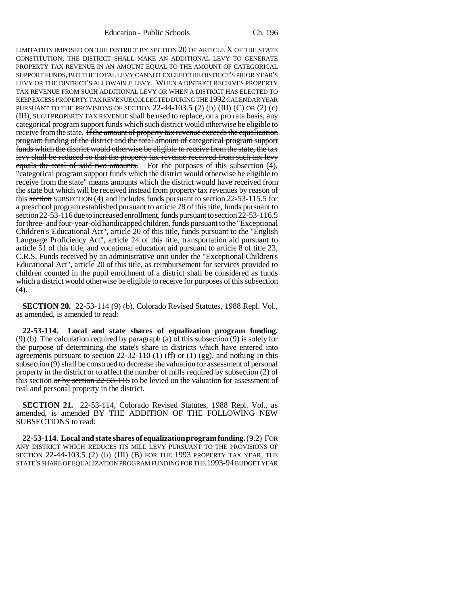LIMITATION IMPOSED ON THE DISTRICT BY SECTION 20 OF ARTICLE X OF THE STATE CONSTITUTION, THE DISTRICT SHALL MAKE AN ADDITIONAL LEVY TO GENERATE PROPERTY TAX REVENUE IN AN AMOUNT EQUAL TO THE AMOUNT OF CATEGORICAL SUPPORT FUNDS, BUT THE TOTAL LEVY CANNOT EXCEED THE DISTRICT'S PRIOR YEAR'S LEVY OR THE DISTRICT'S ALLOWABLE LEVY. WHEN A DISTRICT RECEIVES PROPERTY TAX REVENUE FROM SUCH ADDITIONAL LEVY OR WHEN A DISTRICT HAS ELECTED TO KEEP EXCESS PROPERTY TAX REVENUE COLLECTED DURING THE 1992 CALENDAR YEAR PURSUANT TO THE PROVISIONS OF SECTION 22-44-103.5 (2) (b) (III) (C) OR (2) (c) (III), SUCH PROPERTY TAX REVENUE shall be used to replace, on a pro rata basis, any categorical program support funds which such district would otherwise be eligible to receive from the state. If the amount of property tax revenue exceeds the equalization program funding of the district and the total amount of categorical program support funds which the district would otherwise be eligible to receive from the state, the tax levy shall be reduced so that the property tax revenue received from such tax levy equals the total of said two amounts. For the purposes of this subsection (4), "categorical program support funds which the district would otherwise be eligible to receive from the state" means amounts which the district would have received from the state but which will be received instead from property tax revenues by reason of this section SUBSECTION (4) and includes funds pursuant to section 22-53-115.5 for a preschool program established pursuant to article 28 of this title, funds pursuant to section 22-53-116 due to increased enrollment, funds pursuant to section 22-53-116.5 for three- and four-year-old handicapped children, funds pursuant to the "Exceptional Children's Educational Act", article 20 of this title, funds pursuant to the "English Language Proficiency Act", article 24 of this title, transportation aid pursuant to article 51 of this title, and vocational education aid pursuant to article 8 of title 23, C.R.S. Funds received by an administrative unit under the "Exceptional Children's Educational Act", article 20 of this title, as reimbursement for services provided to children counted in the pupil enrollment of a district shall be considered as funds which a district would otherwise be eligible to receive for purposes of this subsection (4).

**SECTION 20.** 22-53-114 (9) (b), Colorado Revised Statutes, 1988 Repl. Vol., as amended, is amended to read:

**22-53-114. Local and state shares of equalization program funding.** (9) (b) The calculation required by paragraph (a) of this subsection (9) is solely for the purpose of determining the state's share in districts which have entered into agreements pursuant to section 22-32-110 (1) (ff) or (1) (gg), and nothing in this subsection (9) shall be construed to decrease the valuation for assessment of personal property in the district or to affect the number of mills required by subsection (2) of this section or by section 22-53-115 to be levied on the valuation for assessment of real and personal property in the district.

**SECTION 21.** 22-53-114, Colorado Revised Statutes, 1988 Repl. Vol., as amended, is amended BY THE ADDITION OF THE FOLLOWING NEW SUBSECTIONS to read:

**22-53-114. Local and state shares of equalization program funding.** (9.2) FOR ANY DISTRICT WHICH REDUCES ITS MILL LEVY PURSUANT TO THE PROVISIONS OF SECTION 22-44-103.5 (2) (b) (III) (B) FOR THE 1993 PROPERTY TAX YEAR, THE STATE'S SHARE OF EQUALIZATION PROGRAM FUNDING FOR THE 1993-94 BUDGET YEAR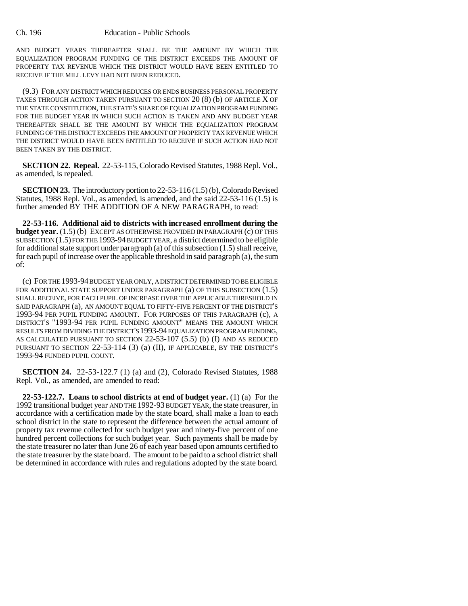AND BUDGET YEARS THEREAFTER SHALL BE THE AMOUNT BY WHICH THE EQUALIZATION PROGRAM FUNDING OF THE DISTRICT EXCEEDS THE AMOUNT OF PROPERTY TAX REVENUE WHICH THE DISTRICT WOULD HAVE BEEN ENTITLED TO RECEIVE IF THE MILL LEVY HAD NOT BEEN REDUCED.

(9.3) FOR ANY DISTRICT WHICH REDUCES OR ENDS BUSINESS PERSONAL PROPERTY TAXES THROUGH ACTION TAKEN PURSUANT TO SECTION 20 (8) (b) OF ARTICLE X OF THE STATE CONSTITUTION, THE STATE'S SHARE OF EQUALIZATION PROGRAM FUNDING FOR THE BUDGET YEAR IN WHICH SUCH ACTION IS TAKEN AND ANY BUDGET YEAR THEREAFTER SHALL BE THE AMOUNT BY WHICH THE EQUALIZATION PROGRAM FUNDING OF THE DISTRICT EXCEEDS THE AMOUNT OF PROPERTY TAX REVENUE WHICH THE DISTRICT WOULD HAVE BEEN ENTITLED TO RECEIVE IF SUCH ACTION HAD NOT BEEN TAKEN BY THE DISTRICT.

**SECTION 22. Repeal.** 22-53-115, Colorado Revised Statutes, 1988 Repl. Vol., as amended, is repealed.

**SECTION 23.** The introductory portion to 22-53-116 (1.5) (b), Colorado Revised Statutes, 1988 Repl. Vol., as amended, is amended, and the said 22-53-116 (1.5) is further amended BY THE ADDITION OF A NEW PARAGRAPH, to read:

**22-53-116. Additional aid to districts with increased enrollment during the budget year.** (1.5) (b) EXCEPT AS OTHERWISE PROVIDED IN PARAGRAPH (c) OF THIS SUBSECTION (1.5) FOR THE 1993-94 BUDGET YEAR, a district determined to be eligible for additional state support under paragraph (a) of this subsection (1.5) shall receive, for each pupil of increase over the applicable threshold in said paragraph (a), the sum of:

(c) FOR THE 1993-94 BUDGET YEAR ONLY, A DISTRICT DETERMINED TO BE ELIGIBLE FOR ADDITIONAL STATE SUPPORT UNDER PARAGRAPH (a) OF THIS SUBSECTION (1.5) SHALL RECEIVE, FOR EACH PUPIL OF INCREASE OVER THE APPLICABLE THRESHOLD IN SAID PARAGRAPH (a), AN AMOUNT EQUAL TO FIFTY-FIVE PERCENT OF THE DISTRICT'S 1993-94 PER PUPIL FUNDING AMOUNT. FOR PURPOSES OF THIS PARAGRAPH (c), A DISTRICT'S "1993-94 PER PUPIL FUNDING AMOUNT" MEANS THE AMOUNT WHICH RESULTS FROM DIVIDING THE DISTRICT'S 1993-94 EQUALIZATION PROGRAM FUNDING, AS CALCULATED PURSUANT TO SECTION 22-53-107 (5.5) (b) (I) AND AS REDUCED PURSUANT TO SECTION 22-53-114 (3) (a) (II), IF APPLICABLE, BY THE DISTRICT'S 1993-94 FUNDED PUPIL COUNT.

**SECTION 24.** 22-53-122.7 (1) (a) and (2), Colorado Revised Statutes, 1988 Repl. Vol., as amended, are amended to read:

**22-53-122.7. Loans to school districts at end of budget year.** (1) (a) For the 1992 transitional budget year AND THE 1992-93 BUDGET YEAR, the state treasurer, in accordance with a certification made by the state board, shall make a loan to each school district in the state to represent the difference between the actual amount of property tax revenue collected for such budget year and ninety-five percent of one hundred percent collections for such budget year. Such payments shall be made by the state treasurer no later than June 26 of each year based upon amounts certified to the state treasurer by the state board. The amount to be paid to a school district shall be determined in accordance with rules and regulations adopted by the state board.